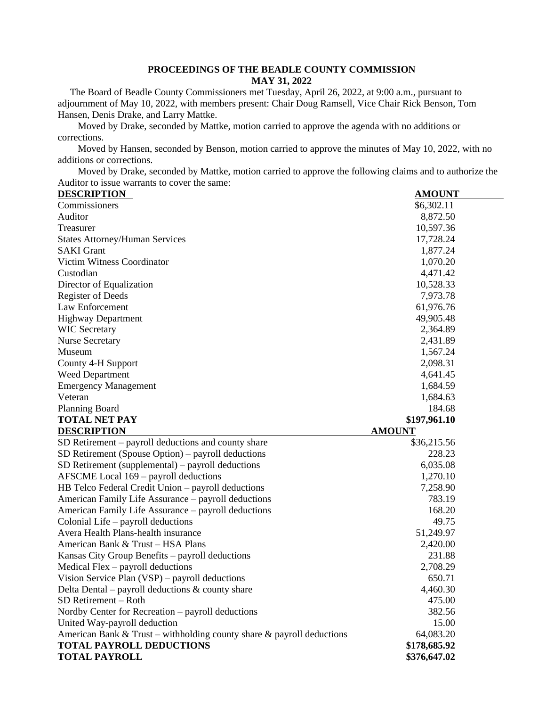### **PROCEEDINGS OF THE BEADLE COUNTY COMMISSION MAY 31, 2022**

 The Board of Beadle County Commissioners met Tuesday, April 26, 2022, at 9:00 a.m., pursuant to adjournment of May 10, 2022, with members present: Chair Doug Ramsell, Vice Chair Rick Benson, Tom Hansen, Denis Drake, and Larry Mattke.

Moved by Drake, seconded by Mattke, motion carried to approve the agenda with no additions or corrections.

Moved by Hansen, seconded by Benson, motion carried to approve the minutes of May 10, 2022, with no additions or corrections.

Moved by Drake, seconded by Mattke, motion carried to approve the following claims and to authorize the Auditor to issue warrants to cover the same:

| <b>DESCRIPTION</b>                                                    | <b>AMOUNT</b> |
|-----------------------------------------------------------------------|---------------|
| Commissioners                                                         | \$6,302.11    |
| Auditor                                                               | 8,872.50      |
| Treasurer                                                             | 10,597.36     |
| <b>States Attorney/Human Services</b>                                 | 17,728.24     |
| <b>SAKI</b> Grant                                                     | 1,877.24      |
| <b>Victim Witness Coordinator</b>                                     | 1,070.20      |
| Custodian                                                             | 4,471.42      |
| Director of Equalization                                              | 10,528.33     |
| <b>Register of Deeds</b>                                              | 7,973.78      |
| <b>Law Enforcement</b>                                                | 61,976.76     |
| <b>Highway Department</b>                                             | 49,905.48     |
| <b>WIC Secretary</b>                                                  | 2,364.89      |
| <b>Nurse Secretary</b>                                                | 2,431.89      |
| Museum                                                                | 1,567.24      |
| County 4-H Support                                                    | 2,098.31      |
| <b>Weed Department</b>                                                | 4,641.45      |
| <b>Emergency Management</b>                                           | 1,684.59      |
| Veteran                                                               | 1,684.63      |
| <b>Planning Board</b>                                                 | 184.68        |
| <b>TOTAL NET PAY</b>                                                  | \$197,961.10  |
| <b>DESCRIPTION</b>                                                    | <b>AMOUNT</b> |
| SD Retirement – payroll deductions and county share                   | \$36,215.56   |
| SD Retirement (Spouse Option) – payroll deductions                    | 228.23        |
| $SD$ Retirement (supplemental) – payroll deductions                   | 6,035.08      |
| AFSCME Local 169 – payroll deductions                                 | 1,270.10      |
| HB Telco Federal Credit Union - payroll deductions                    | 7,258.90      |
| American Family Life Assurance – payroll deductions                   | 783.19        |
| American Family Life Assurance – payroll deductions                   | 168.20        |
| Colonial Life - payroll deductions                                    | 49.75         |
| Avera Health Plans-health insurance                                   | 51,249.97     |
| American Bank & Trust - HSA Plans                                     | 2,420.00      |
| Kansas City Group Benefits – payroll deductions                       | 231.88        |
| Medical Flex $-$ payroll deductions                                   | 2,708.29      |
| Vision Service Plan (VSP) – payroll deductions                        | 650.71        |
| Delta Dental – payroll deductions $&$ county share                    | 4,460.30      |
| SD Retirement - Roth                                                  | 475.00        |
| Nordby Center for Recreation - payroll deductions                     | 382.56        |
| United Way-payroll deduction                                          | 15.00         |
| American Bank & Trust – withholding county share & payroll deductions | 64,083.20     |
| <b>TOTAL PAYROLL DEDUCTIONS</b>                                       | \$178,685.92  |
| <b>TOTAL PAYROLL</b>                                                  | \$376,647.02  |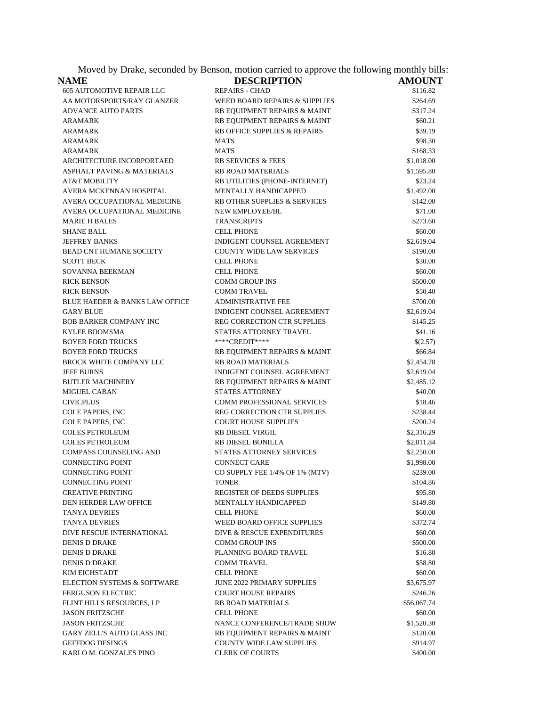Moved by Drake, seconded by Benson, motion carried to approve the following monthly bills:

| <u>NAME</u>                               | <b>DESCRIPTION</b>                       | <u>AMOUNT</u> |
|-------------------------------------------|------------------------------------------|---------------|
| <b>605 AUTOMOTIVE REPAIR LLC</b>          | <b>REPAIRS - CHAD</b>                    | \$116.82      |
| AA MOTORSPORTS/RAY GLANZER                | <b>WEED BOARD REPAIRS &amp; SUPPLIES</b> | \$264.69      |
| <b>ADVANCE AUTO PARTS</b>                 | RB EQUIPMENT REPAIRS & MAINT             | \$317.24      |
| ARAMARK                                   | RB EQUIPMENT REPAIRS & MAINT             | \$60.21       |
| ARAMARK                                   | RB OFFICE SUPPLIES & REPAIRS             | \$39.19       |
| ARAMARK                                   | <b>MATS</b>                              | \$98.30       |
| ARAMARK                                   | MATS                                     | \$168.33      |
| ARCHITECTURE INCORPORTAED                 | <b>RB SERVICES &amp; FEES</b>            | \$1,018.00    |
| <b>ASPHALT PAVING &amp; MATERIALS</b>     | <b>RB ROAD MATERIALS</b>                 | \$1,595.80    |
| AT&T MOBILITY                             | RB UTILITIES (PHONE-INTERNET)            | \$23.24       |
| AVERA MCKENNAN HOSPITAL                   | MENTALLY HANDICAPPED                     | \$1,492.00    |
| AVERA OCCUPATIONAL MEDICINE               | RB OTHER SUPPLIES & SERVICES             | \$142.00      |
| AVERA OCCUPATIONAL MEDICINE               | <b>NEW EMPLOYEE/BL</b>                   | \$71.00       |
| <b>MARIE H BALES</b>                      | <b>TRANSCRIPTS</b>                       | \$273.60      |
| <b>SHANE BALL</b>                         | <b>CELL PHONE</b>                        | \$60.00       |
| <b>JEFFREY BANKS</b>                      | <b>INDIGENT COUNSEL AGREEMENT</b>        | \$2,619.04    |
| <b>BEAD CNT HUMANE SOCIETY</b>            | <b>COUNTY WIDE LAW SERVICES</b>          | \$190.00      |
| <b>SCOTT BECK</b>                         | <b>CELL PHONE</b>                        | \$30.00       |
| SOVANNA BEEKMAN                           | <b>CELL PHONE</b>                        | \$60.00       |
| <b>RICK BENSON</b>                        | <b>COMM GROUP INS</b>                    | \$500.00      |
| <b>RICK BENSON</b>                        | <b>COMM TRAVEL</b>                       | \$50.40       |
| <b>BLUE HAEDER &amp; BANKS LAW OFFICE</b> | <b>ADMINISTRATIVE FEE</b>                | \$700.00      |
| GARY BLUE                                 | INDIGENT COUNSEL AGREEMENT               | \$2,619.04    |
| <b>BOB BARKER COMPANY INC</b>             | REG CORRECTION CTR SUPPLIES              | \$145.25      |
| KYLEE BOOMSMA                             | STATES ATTORNEY TRAVEL                   | \$41.16       |
| <b>BOYER FORD TRUCKS</b>                  | ****CREDIT****                           | \$(2.57)      |
| <b>BOYER FORD TRUCKS</b>                  | RB EQUIPMENT REPAIRS & MAINT             | \$66.84       |
| <b>BROCK WHITE COMPANY LLC</b>            | <b>RB ROAD MATERIALS</b>                 | \$2,454.78    |
| <b>JEFF BURNS</b>                         | INDIGENT COUNSEL AGREEMENT               | \$2,619.04    |
| <b>BUTLER MACHINERY</b>                   | RB EQUIPMENT REPAIRS & MAINT             | \$2,485.12    |
| <b>MIGUEL CABAN</b>                       | <b>STATES ATTORNEY</b>                   | \$40.00       |
| <b>CIVICPLUS</b>                          | <b>COMM PROFESSIONAL SERVICES</b>        | \$18.46       |
| COLE PAPERS, INC                          | REG CORRECTION CTR SUPPLIES              | \$238.44      |
| COLE PAPERS, INC                          | <b>COURT HOUSE SUPPLIES</b>              | \$200.24      |
| <b>COLES PETROLEUM</b>                    | <b>RB DIESEL VIRGIL</b>                  | \$2,316.29    |
| <b>COLES PETROLEUM</b>                    | RB DIESEL BONILLA                        | \$2,811.84    |
| <b>COMPASS COUNSELING AND</b>             | STATES ATTORNEY SERVICES                 | \$2,250.00    |
| <b>CONNECTING POINT</b>                   | <b>CONNECT CARE</b>                      | \$1,998.00    |
| <b>CONNECTING POINT</b>                   | CO SUPPLY FEE 1/4% OF 1% (MTV)           | \$239.00      |
| <b>CONNECTING POINT</b>                   | <b>TONER</b>                             | \$104.86      |
| <b>CREATIVE PRINTING</b>                  | REGISTER OF DEEDS SUPPLIES               | \$95.80       |
| DEN HERDER LAW OFFICE                     | MENTALLY HANDICAPPED                     | \$149.80      |
| <b>TANYA DEVRIES</b>                      | <b>CELL PHONE</b>                        | \$60.00       |
| <b>TANYA DEVRIES</b>                      | WEED BOARD OFFICE SUPPLIES               | \$372.74      |
| DIVE RESCUE INTERNATIONAL                 | DIVE & RESCUE EXPENDITURES               | \$60.00       |
| <b>DENIS D DRAKE</b>                      | <b>COMM GROUP INS</b>                    | \$500.00      |
| DENIS D DRAKE                             | PLANNING BOARD TRAVEL                    | \$16.80       |
| <b>DENIS D DRAKE</b>                      | <b>COMM TRAVEL</b>                       | \$58.80       |
| KIM EICHSTADT                             | <b>CELL PHONE</b>                        | \$60.00       |
| ELECTION SYSTEMS & SOFTWARE               | <b>JUNE 2022 PRIMARY SUPPLIES</b>        | \$3,675.97    |
| <b>FERGUSON ELECTRIC</b>                  | <b>COURT HOUSE REPAIRS</b>               | \$246.26      |
| FLINT HILLS RESOURCES, LP                 | <b>RB ROAD MATERIALS</b>                 | \$56,067.74   |
| <b>JASON FRITZSCHE</b>                    | <b>CELL PHONE</b>                        | \$60.00       |
| <b>JASON FRITZSCHE</b>                    | NANCE CONFERENCE/TRADE SHOW              | \$1,520.30    |
| GARY ZELL'S AUTO GLASS INC                | RB EQUIPMENT REPAIRS & MAINT             | \$120.00      |
| <b>GEFFDOG DESINGS</b>                    | <b>COUNTY WIDE LAW SUPPLIES</b>          | \$914.97      |
| KARLO M. GONZALES PINO                    | <b>CLERK OF COURTS</b>                   | \$400.00      |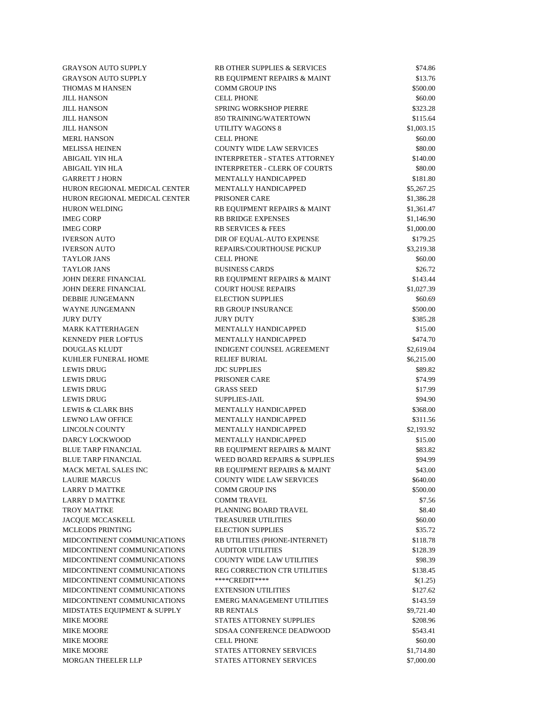GRAYSON AUTO SUPPLY RB OTHER SUPPLIES  $\&$  SERVICES \$74.86 GRAYSON AUTO SUPPLY RB EQUIPMENT REPAIRS & MAINT \$13.76 THOMAS M HANSEN COMM GROUP INS \$500.00 JILL HANSON S60.00 JILL HANSON SPRING WORKSHOP PIERRE \$323.28 JILL HANSON 850 TRAINING/WATERTOWN \$115.64 JILL HANSON UTILITY WAGONS 8 \$1,003.15 MERL HANSON S60.00 MELISSA HEINEN COUNTY WIDE LAW SERVICES \$80.00 ABIGAIL YIN HLA **INTERPRETER - STATES ATTORNEY** \$140.00 ABIGAIL YIN HLA INTERPRETER - CLERK OF COURTS \$80.00 GARRETT J HORN 6181.80 HURON REGIONAL MEDICAL CENTER MENTALLY HANDICAPPED \$5,267.25 HURON REGIONAL MEDICAL CENTER PRISONER CARE \$1,386.28 HURON WELDING RB EQUIPMENT REPAIRS & MAINT \$1,361.47 IMEG CORP RB BRIDGE EXPENSES \$1,146.90 IMEG CORP RB SERVICES & FEES \$1,000.00 IVERSON AUTO DIR OF EQUAL-AUTO EXPENSE \$179.25 IVERSON AUTO REPAIRS/COURTHOUSE PICKUP \$3,219.38 TAYLOR JANS S60.00 TAYLOR JANS \$26.72 JOHN DEERE FINANCIAL RB EQUIPMENT REPAIRS & MAINT \$143.44 JOHN DEERE FINANCIAL COURT HOUSE REPAIRS \$1,027.39 DEBBIE JUNGEMANN ELECTION SUPPLIES \$60.69 WAYNE JUNGEMANN RB GROUP INSURANCE \$500.00 JURY DUTY \$385.28 MARK KATTERHAGEN MENTALLY HANDICAPPED \$15.00 KENNEDY PIER LOFTUS MENTALLY HANDICAPPED \$474.70 DOUGLAS KLUDT INDIGENT COUNSEL AGREEMENT \$2,619.04 KUHLER FUNERAL HOME RELIEF BURIAL **EXAMPLE A S6,215.00** LEWIS DRUG \$89.82 LEWIS DRUG PRISONER CARE \$74.99 LEWIS DRUG \$17.99 LEWIS DRUG SUPPLIES-JAIL \$94.90 LEWIS & CLARK BHS MENTALLY HANDICAPPED \$368.00 LEWNO LAW OFFICE MENTALLY HANDICAPPED \$311.56 LINCOLN COUNTY MENTALLY HANDICAPPED \$2,193.92 DARCY LOCKWOOD MENTALLY HANDICAPPED \$15.00 BLUE TARP FINANCIAL RB EQUIPMENT REPAIRS & MAINT \$83.82 BLUE TARP FINANCIAL WEED BOARD REPAIRS & SUPPLIES \$94.99 MACK METAL SALES INC RB EQUIPMENT REPAIRS & MAINT \$43.00 LAURIE MARCUS COUNTY WIDE LAW SERVICES \$640.00 LARRY D MATTKE COMM GROUP INS \$500.00 LARRY D MATTKE COMM TRAVEL 67.56 TROY MATTKE **PLANNING BOARD TRAVEL** \$8.40 JACQUE MCCASKELL TREASURER UTILITIES \$60.00 MCLEODS PRINTING ELECTION SUPPLIES \$35.72 MIDCONTINENT COMMUNICATIONS RB UTILITIES (PHONE-INTERNET) \$118.78 MIDCONTINENT COMMUNICATIONS AUDITOR UTILITIES \$128.39 MIDCONTINENT COMMUNICATIONS COUNTY WIDE LAW UTILITIES \$98.39 MIDCONTINENT COMMUNICATIONS REG CORRECTION CTR UTILITIES \$138.45 MIDCONTINENT COMMUNICATIONS \*\*\*\*\*CREDIT\*\*\*\* \$\$\bitside \$(1.25) MIDCONTINENT COMMUNICATIONS EXTENSION UTILITIES \$127.62 MIDCONTINENT COMMUNICATIONS EMERG MANAGEMENT UTILITIES \$143.59 MIDSTATES EQUIPMENT & SUPPLY RB RENTALS \$9,721.40 MIKE MOORE STATES ATTORNEY SUPPLIES \$208.96 MIKE MOORE SDSAA CONFERENCE DEADWOOD \$543.41 MIKE MOORE S60.00 MIKE MOORE STATES ATTORNEY SERVICES \$1,714.80 MORGAN THEELER LLP STATES ATTORNEY SERVICES \$7,000.00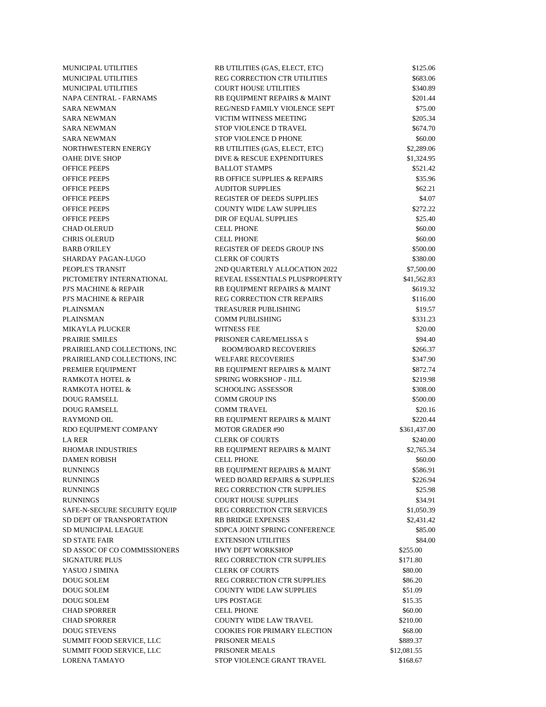MUNICIPAL UTILITIES RB UTILITIES (GAS, ELECT, ETC) \$125.06 MUNICIPAL UTILITIES REG CORRECTION CTR UTILITIES \$683.06 MUNICIPAL UTILITIES COURT HOUSE UTILITIES \$340.89 NAPA CENTRAL - FARNAMS RB EQUIPMENT REPAIRS & MAINT \$201.44 SARA NEWMAN REG/NESD FAMILY VIOLENCE SEPT \$75.00 SARA NEWMAN VICTIM WITNESS MEETING \$205.34 SARA NEWMAN STOP VIOLENCE D TRAVEL \$674.70 SARA NEWMAN STOP VIOLENCE D PHONE \$60.00 NORTHWESTERN ENERGY RB UTILITIES (GAS, ELECT, ETC) \$2,289.06 OAHE DIVE SHOP DIVE & RESCUE EXPENDITURES \$1,324.95 OFFICE PEEPS BALLOT STAMPS \$521.42 OFFICE PEEPS RB OFFICE SUPPLIES & REPAIRS \$35.96 OFFICE PEEPS 662.21 OFFICE PEEPS SUPPLIES SUPPLIES \$4.07 OFFICE PEEPS S272.22 OFFICE PEEPS DIR OF EQUAL SUPPLIES \$25.40 CHAD OLERUD CELL PHONE CELL PHONE \$60.00 CELL PHONE \$60.00 \$60.00 BARB O'RILEY REGISTER OF DEEDS GROUP INS \$500.00 SHARDAY PAGAN-LUGO CLERK OF COURTS \$380.00 PEOPLE'S TRANSIT 2ND QUARTERLY ALLOCATION 2022 \$7,500.00 PICTOMETRY INTERNATIONAL REVEAL ESSENTIALS PLUSPROPERTY \$41,562.83 PJ'S MACHINE & REPAIR RB EQUIPMENT REPAIRS & MAINT \$619.32 PJ'S MACHINE & REPAIR REG CORRECTION CTR REPAIRS \$116.00 PLAINSMAN **TREASURER PUBLISHING** \$19.57 PLAINSMAN S331.23 MIKAYLA PLUCKER S20.00 PRAIRIE SMILES SOLAIRIE SMILES PRISONER CARE/MELISSA S \$94.40 PRAIRIELAND COLLECTIONS, INC ROOM/BOARD RECOVERIES \$266.37 PRAIRIELAND COLLECTIONS, INC WELFARE RECOVERIES \$347.90 PREMIER EQUIPMENT RB EQUIPMENT REPAIRS & MAINT \$872.74 RAMKOTA HOTEL & SPRING WORKSHOP - JILL \$219.98 RAMKOTA HOTEL & SCHOOLING ASSESSOR \$308.00 DOUG RAMSELL COMM GROUP INS \$500.00 DOUG RAMSELL S20.16 RAYMOND OIL RB EQUIPMENT REPAIRS & MAINT \$220.44 RDO EQUIPMENT COMPANY MOTOR GRADER #90 \$361,437.00 LA RER S240.00 CLERK OF COURTS \$240.00 RHOMAR INDUSTRIES RB EQUIPMENT REPAIRS & MAINT \$2,765.34 DAMEN ROBISH S60.00 RUNNINGS RB EQUIPMENT REPAIRS & MAINT \$586.91 RUNNINGS **WEED BOARD REPAIRS & SUPPLIES** \$226.94 RUNNINGS REG CORRECTION CTR SUPPLIES \$25.98 RUNNINGS COURT HOUSE SUPPLIES \$34.91 SAFE-N-SECURE SECURITY EQUIP REG CORRECTION CTR SERVICES \$1,050.39 SD DEPT OF TRANSPORTATION RB BRIDGE EXPENSES \$2,431.42 SD MUNICIPAL LEAGUE SDPCA JOINT SPRING CONFERENCE \$85.00 SD STATE FAIR S84.00 SD ASSOC OF CO COMMISSIONERS HWY DEPT WORKSHOP \$255.00 SIGNATURE PLUS REG CORRECTION CTR SUPPLIES \$171.80 YASUO J SIMINA S80.00 DOUG SOLEM REG CORRECTION CTR SUPPLIES \$86.20 DOUG SOLEM COUNTY WIDE LAW SUPPLIES \$51.09 DOUG SOLEM UPS POSTAGE \$15.35 CHAD SPORRER S60.00 CHAD SPORRER COUNTY WIDE LAW TRAVEL \$210.00 DOUG STEVENS COOKIES FOR PRIMARY ELECTION \$68.00 SUMMIT FOOD SERVICE, LLC PRISONER MEALS \$889.37 SUMMIT FOOD SERVICE, LLC PRISONER MEALS \$12,081.55 LORENA TAMAYO STOP VIOLENCE GRANT TRAVEL \$168.67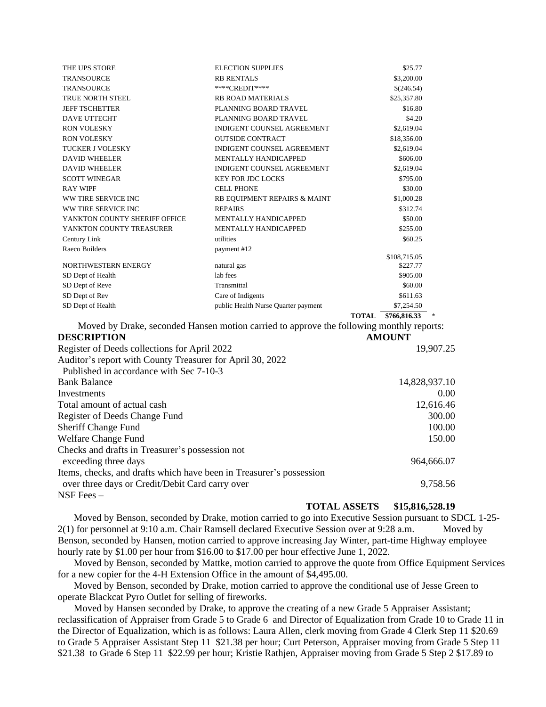| THE UPS STORE                                                       | <b>ELECTION SUPPLIES</b>                                                                 | \$25.77                         |
|---------------------------------------------------------------------|------------------------------------------------------------------------------------------|---------------------------------|
| <b>TRANSOURCE</b>                                                   | <b>RB RENTALS</b>                                                                        | \$3,200.00                      |
| <b>TRANSOURCE</b>                                                   | ****CREDIT****                                                                           | \$(246.54)                      |
| <b>TRUE NORTH STEEL</b>                                             | <b>RB ROAD MATERIALS</b>                                                                 | \$25,357.80                     |
| <b>JEFF TSCHETTER</b>                                               | PLANNING BOARD TRAVEL                                                                    | \$16.80                         |
| DAVE UTTECHT                                                        | PLANNING BOARD TRAVEL                                                                    | \$4.20                          |
| <b>RON VOLESKY</b>                                                  | INDIGENT COUNSEL AGREEMENT                                                               | \$2,619.04                      |
| <b>RON VOLESKY</b>                                                  | <b>OUTSIDE CONTRACT</b>                                                                  | \$18,356.00                     |
| <b>TUCKER J VOLESKY</b>                                             | <b>INDIGENT COUNSEL AGREEMENT</b>                                                        | \$2,619.04                      |
| <b>DAVID WHEELER</b>                                                | MENTALLY HANDICAPPED                                                                     | \$606.00                        |
| <b>DAVID WHEELER</b>                                                | INDIGENT COUNSEL AGREEMENT                                                               | \$2,619.04                      |
| <b>SCOTT WINEGAR</b>                                                | <b>KEY FOR JDC LOCKS</b>                                                                 | \$795.00                        |
| <b>RAY WIPF</b>                                                     | <b>CELL PHONE</b>                                                                        | \$30.00                         |
| WW TIRE SERVICE INC                                                 | RB EQUIPMENT REPAIRS & MAINT                                                             | \$1,000.28                      |
| WW TIRE SERVICE INC                                                 | <b>REPAIRS</b>                                                                           | \$312.74                        |
| YANKTON COUNTY SHERIFF OFFICE                                       | MENTALLY HANDICAPPED                                                                     | \$50.00                         |
| YANKTON COUNTY TREASURER                                            | MENTALLY HANDICAPPED                                                                     | \$255.00                        |
| Century Link                                                        | utilities                                                                                | \$60.25                         |
| Raeco Builders                                                      | payment #12                                                                              |                                 |
| NORTHWESTERN ENERGY                                                 | natural gas                                                                              | \$108,715.05<br>\$227.77        |
| SD Dept of Health                                                   | lab fees                                                                                 | \$905.00                        |
| SD Dept of Reve                                                     | Transmittal                                                                              | \$60.00                         |
| SD Dept of Rev                                                      | Care of Indigents                                                                        | \$611.63                        |
| SD Dept of Health                                                   | public Health Nurse Quarter payment                                                      | \$7,254.50                      |
|                                                                     |                                                                                          | $$766,816.33$ *<br><b>TOTAL</b> |
|                                                                     | Moved by Drake, seconded Hansen motion carried to approve the following monthly reports: |                                 |
| <b>DESCRIPTION</b>                                                  |                                                                                          | <b>AMOUNT</b>                   |
| Register of Deeds collections for April 2022                        |                                                                                          | 19,907.25                       |
|                                                                     |                                                                                          |                                 |
| Auditor's report with County Treasurer for April 30, 2022           |                                                                                          |                                 |
| Published in accordance with Sec 7-10-3                             |                                                                                          |                                 |
| <b>Bank Balance</b>                                                 |                                                                                          | 14,828,937.10                   |
| Investments                                                         |                                                                                          | 0.00                            |
| Total amount of actual cash                                         |                                                                                          | 12,616.46                       |
| Register of Deeds Change Fund                                       |                                                                                          | 300.00                          |
| <b>Sheriff Change Fund</b>                                          |                                                                                          | 100.00                          |
| Welfare Change Fund                                                 |                                                                                          | 150.00                          |
| Checks and drafts in Treasurer's possession not                     |                                                                                          |                                 |
|                                                                     |                                                                                          |                                 |
| exceeding three days                                                |                                                                                          | 964,666.07                      |
| Items, checks, and drafts which have been in Treasurer's possession |                                                                                          |                                 |
| over three days or Credit/Debit Card carry over                     |                                                                                          | 9,758.56                        |
| $NSF$ Fees $-$                                                      |                                                                                          |                                 |

#### **TOTAL ASSETS \$15,816,528.19**

Moved by Benson, seconded by Drake, motion carried to go into Executive Session pursuant to SDCL 1-25- 2(1) for personnel at 9:10 a.m. Chair Ramsell declared Executive Session over at 9:28 a.m. Moved by Benson, seconded by Hansen, motion carried to approve increasing Jay Winter, part-time Highway employee hourly rate by \$1.00 per hour from \$16.00 to \$17.00 per hour effective June 1, 2022.

Moved by Benson, seconded by Mattke, motion carried to approve the quote from Office Equipment Services for a new copier for the 4-H Extension Office in the amount of \$4,495.00.

Moved by Benson, seconded by Drake, motion carried to approve the conditional use of Jesse Green to operate Blackcat Pyro Outlet for selling of fireworks.

Moved by Hansen seconded by Drake, to approve the creating of a new Grade 5 Appraiser Assistant; reclassification of Appraiser from Grade 5 to Grade 6 and Director of Equalization from Grade 10 to Grade 11 in the Director of Equalization, which is as follows: Laura Allen, clerk moving from Grade 4 Clerk Step 11 \$20.69 to Grade 5 Appraiser Assistant Step 11 \$21.38 per hour; Curt Peterson, Appraiser moving from Grade 5 Step 11 \$21.38 to Grade 6 Step 11 \$22.99 per hour; Kristie Rathjen, Appraiser moving from Grade 5 Step 2 \$17.89 to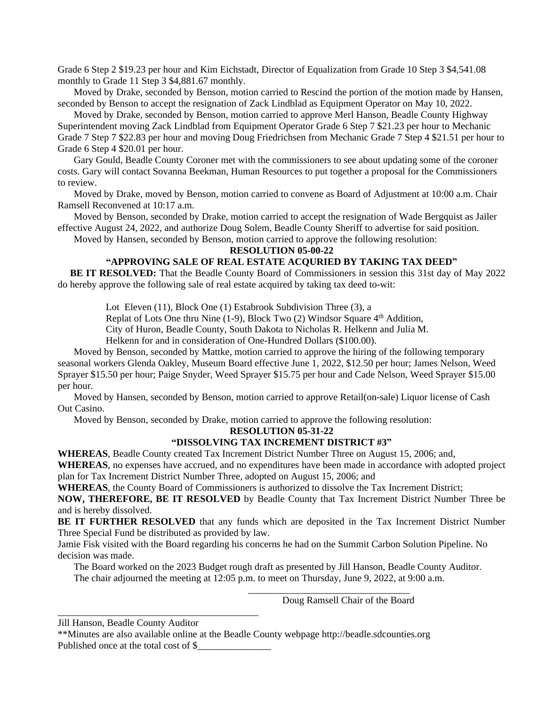Grade 6 Step 2 \$19.23 per hour and Kim Eichstadt, Director of Equalization from Grade 10 Step 3 \$4,541.08 monthly to Grade 11 Step 3 \$4,881.67 monthly.

Moved by Drake, seconded by Benson, motion carried to Rescind the portion of the motion made by Hansen, seconded by Benson to accept the resignation of Zack Lindblad as Equipment Operator on May 10, 2022.

Moved by Drake, seconded by Benson, motion carried to approve Merl Hanson, Beadle County Highway Superintendent moving Zack Lindblad from Equipment Operator Grade 6 Step 7 \$21.23 per hour to Mechanic Grade 7 Step 7 \$22.83 per hour and moving Doug Friedrichsen from Mechanic Grade 7 Step 4 \$21.51 per hour to Grade 6 Step 4 \$20.01 per hour.

Gary Gould, Beadle County Coroner met with the commissioners to see about updating some of the coroner costs. Gary will contact Sovanna Beekman, Human Resources to put together a proposal for the Commissioners to review.

Moved by Drake, moved by Benson, motion carried to convene as Board of Adjustment at 10:00 a.m. Chair Ramsell Reconvened at 10:17 a.m.

Moved by Benson, seconded by Drake, motion carried to accept the resignation of Wade Bergquist as Jailer effective August 24, 2022, and authorize Doug Solem, Beadle County Sheriff to advertise for said position.

Moved by Hansen, seconded by Benson, motion carried to approve the following resolution:

# **RESOLUTION 05-00-22**

# **"APPROVING SALE OF REAL ESTATE ACQURIED BY TAKING TAX DEED"**

**BE IT RESOLVED:** That the Beadle County Board of Commissioners in session this 31st day of May 2022 do hereby approve the following sale of real estate acquired by taking tax deed to-wit:

Lot Eleven (11), Block One (1) Estabrook Subdivision Three (3), a

Replat of Lots One thru Nine (1-9), Block Two (2) Windsor Square 4<sup>th</sup> Addition,

City of Huron, Beadle County, South Dakota to Nicholas R. Helkenn and Julia M.

Helkenn for and in consideration of One-Hundred Dollars (\$100.00).

Moved by Benson, seconded by Mattke, motion carried to approve the hiring of the following temporary seasonal workers Glenda Oakley, Museum Board effective June 1, 2022, \$12.50 per hour; James Nelson, Weed Sprayer \$15.50 per hour; Paige Snyder, Weed Sprayer \$15.75 per hour and Cade Nelson, Weed Sprayer \$15.00 per hour.

Moved by Hansen, seconded by Benson, motion carried to approve Retail(on-sale) Liquor license of Cash Out Casino.

Moved by Benson, seconded by Drake, motion carried to approve the following resolution:

**RESOLUTION 05-31-22**

### **"DISSOLVING TAX INCREMENT DISTRICT #3"**

**WHEREAS**, Beadle County created Tax Increment District Number Three on August 15, 2006; and, **WHEREAS**, no expenses have accrued, and no expenditures have been made in accordance with adopted project plan for Tax Increment District Number Three, adopted on August 15, 2006; and

**WHEREAS**, the County Board of Commissioners is authorized to dissolve the Tax Increment District;

**NOW, THEREFORE, BE IT RESOLVED** by Beadle County that Tax Increment District Number Three be and is hereby dissolved.

**BE IT FURTHER RESOLVED** that any funds which are deposited in the Tax Increment District Number Three Special Fund be distributed as provided by law.

Jamie Fisk visited with the Board regarding his concerns he had on the Summit Carbon Solution Pipeline. No decision was made.

The Board worked on the 2023 Budget rough draft as presented by Jill Hanson, Beadle County Auditor. The chair adjourned the meeting at 12:05 p.m. to meet on Thursday, June 9, 2022, at 9:00 a.m.

Doug Ramsell Chair of the Board

\_\_\_\_\_\_\_\_\_\_\_\_\_\_\_\_\_\_\_\_\_\_\_\_\_\_\_\_\_\_\_\_\_\_\_\_\_\_\_\_\_

 $\overline{\phantom{a}}$  , and the contract of the contract of the contract of the contract of the contract of the contract of the contract of the contract of the contract of the contract of the contract of the contract of the contrac

Jill Hanson, Beadle County Auditor

<sup>\*\*</sup>Minutes are also available online at the Beadle County webpage <http://beadle.sdcounties.org> Published once at the total cost of \$\_\_\_\_\_\_\_\_\_\_\_\_\_\_\_